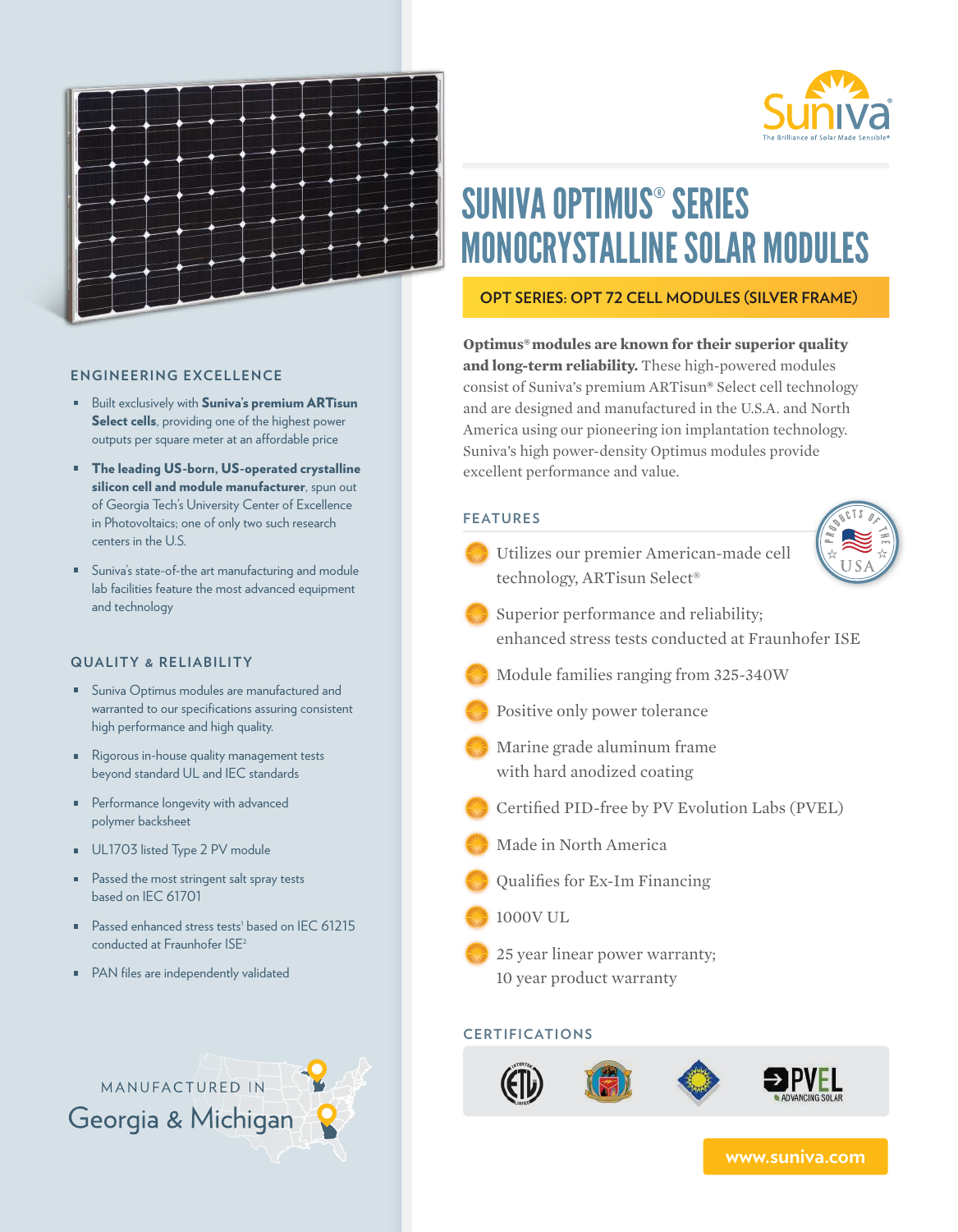

# SUNIVA OPTIMUS® SERIES MONOCRYSTALLINE SOLAR MODULES

**OPT SERIES: OPT 72 CELL MODULES (SILVER FRAME)**

**Optimus®modules are known for their superior quality and long-term reliability.** These high-powered modules consist of Suniva's premium ARTisun**®** Select cell technology and are designed and manufactured in the U.S.A. and North America using our pioneering ion implantation technology. Suniva's high power-density Optimus modules provide excellent performance and value.

# **FEATURES**

 Utilizes our premier American-made cell technology, ARTisun Select®



- Superior performance and reliability; enhanced stress tests conducted at Fraunhofer ISE
- Module families ranging from 325-340W
- Positive only power tolerance
- Marine grade aluminum frame with hard anodized coating
- Certified PID-free by PV Evolution Labs (PVEL)
- Made in North America
- Qualifies for Ex-Im Financing
- 1000V UL

 25 year linear power warranty; 10 year product warranty

# **CERTIFICATIONS**



**www.suniva.com**



### **ENGINEERING EXCELLENCE**

- **Built exclusively with Suniva's premium ARTisun** Select cells, providing one of the highest power outputs per square meter at an affordable price
- The leading US-born, US-operated crystalline silicon cell and module manufacturer, spun out of Georgia Tech's University Center of Excellence in Photovoltaics; one of only two such research centers in the U.S.
- Suniva's state-of-the art manufacturing and module lab facilities feature the most advanced equipment and technology

# **QUALITY & RELIABILITY**

- **Suniva Optimus modules are manufactured and** warranted to our specifications assuring consistent high performance and high quality.
- Rigorous in-house quality management tests beyond standard UL and IEC standards
- **Performance longevity with advanced** polymer backsheet
- UL1703 listed Type 2 PV module
- **Passed the most stringent salt spray tests** based on IEC 61701
- $P$ assed enhanced stress tests<sup>1</sup> based on IEC 61215 conducted at Fraunhofer ISE<sup>2</sup>
- **PAN** files are independently validated

MANUFACTURED IN

Georgia & Michigan